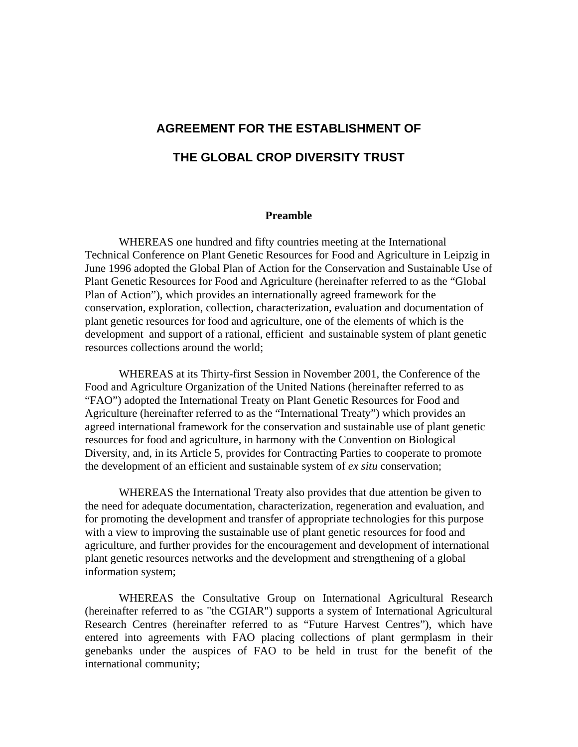# **AGREEMENT FOR THE ESTABLISHMENT OF THE GLOBAL CROP DIVERSITY TRUST**

#### **Preamble**

 WHEREAS one hundred and fifty countries meeting at the International Technical Conference on Plant Genetic Resources for Food and Agriculture in Leipzig in June 1996 adopted the Global Plan of Action for the Conservation and Sustainable Use of Plant Genetic Resources for Food and Agriculture (hereinafter referred to as the "Global Plan of Action"), which provides an internationally agreed framework for the conservation, exploration, collection, characterization, evaluation and documentation of plant genetic resources for food and agriculture, one of the elements of which is the development and support of a rational, efficient and sustainable system of plant genetic resources collections around the world;

 WHEREAS at its Thirty-first Session in November 2001, the Conference of the Food and Agriculture Organization of the United Nations (hereinafter referred to as "FAO") adopted the International Treaty on Plant Genetic Resources for Food and Agriculture (hereinafter referred to as the "International Treaty") which provides an agreed international framework for the conservation and sustainable use of plant genetic resources for food and agriculture, in harmony with the Convention on Biological Diversity, and, in its Article 5, provides for Contracting Parties to cooperate to promote the development of an efficient and sustainable system of *ex situ* conservation;

 WHEREAS the International Treaty also provides that due attention be given to the need for adequate documentation, characterization, regeneration and evaluation, and for promoting the development and transfer of appropriate technologies for this purpose with a view to improving the sustainable use of plant genetic resources for food and agriculture, and further provides for the encouragement and development of international plant genetic resources networks and the development and strengthening of a global information system;

 WHEREAS the Consultative Group on International Agricultural Research (hereinafter referred to as "the CGIAR") supports a system of International Agricultural Research Centres (hereinafter referred to as "Future Harvest Centres"), which have entered into agreements with FAO placing collections of plant germplasm in their genebanks under the auspices of FAO to be held in trust for the benefit of the international community;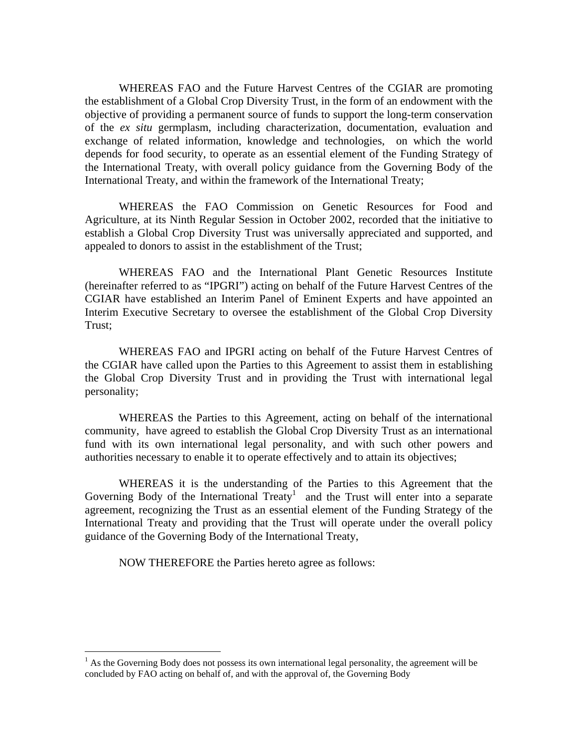WHEREAS FAO and the Future Harvest Centres of the CGIAR are promoting the establishment of a Global Crop Diversity Trust, in the form of an endowment with the objective of providing a permanent source of funds to support the long-term conservation of the *ex situ* germplasm, including characterization, documentation, evaluation and exchange of related information, knowledge and technologies, on which the world depends for food security, to operate as an essential element of the Funding Strategy of the International Treaty, with overall policy guidance from the Governing Body of the International Treaty, and within the framework of the International Treaty;

 WHEREAS the FAO Commission on Genetic Resources for Food and Agriculture, at its Ninth Regular Session in October 2002, recorded that the initiative to establish a Global Crop Diversity Trust was universally appreciated and supported, and appealed to donors to assist in the establishment of the Trust;

 WHEREAS FAO and the International Plant Genetic Resources Institute (hereinafter referred to as "IPGRI") acting on behalf of the Future Harvest Centres of the CGIAR have established an Interim Panel of Eminent Experts and have appointed an Interim Executive Secretary to oversee the establishment of the Global Crop Diversity Trust;

 WHEREAS FAO and IPGRI acting on behalf of the Future Harvest Centres of the CGIAR have called upon the Parties to this Agreement to assist them in establishing the Global Crop Diversity Trust and in providing the Trust with international legal personality;

 WHEREAS the Parties to this Agreement, acting on behalf of the international community, have agreed to establish the Global Crop Diversity Trust as an international fund with its own international legal personality, and with such other powers and authorities necessary to enable it to operate effectively and to attain its objectives;

 WHEREAS it is the understanding of the Parties to this Agreement that the Governing Body of the International Treaty<sup>1</sup> and the Trust will enter into a separate agreement, recognizing the Trust as an essential element of the Funding Strategy of the International Treaty and providing that the Trust will operate under the overall policy guidance of the Governing Body of the International Treaty,

NOW THEREFORE the Parties hereto agree as follows:

 $\overline{a}$ 

 $<sup>1</sup>$  As the Governing Body does not possess its own international legal personality, the agreement will be</sup> concluded by FAO acting on behalf of, and with the approval of, the Governing Body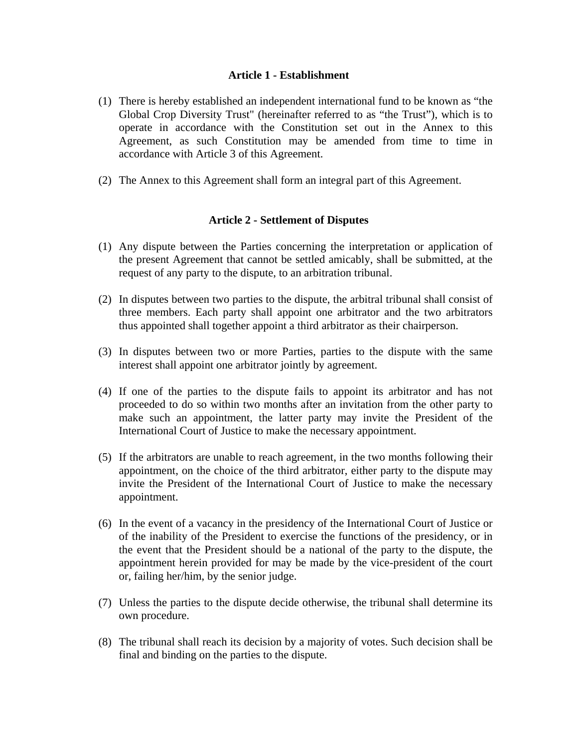#### **Article 1 - Establishment**

- (1) There is hereby established an independent international fund to be known as "the Global Crop Diversity Trust" (hereinafter referred to as "the Trust"), which is to operate in accordance with the Constitution set out in the Annex to this Agreement, as such Constitution may be amended from time to time in accordance with Article 3 of this Agreement.
- (2) The Annex to this Agreement shall form an integral part of this Agreement.

#### **Article 2 - Settlement of Disputes**

- (1) Any dispute between the Parties concerning the interpretation or application of the present Agreement that cannot be settled amicably, shall be submitted, at the request of any party to the dispute, to an arbitration tribunal.
- (2) In disputes between two parties to the dispute, the arbitral tribunal shall consist of three members. Each party shall appoint one arbitrator and the two arbitrators thus appointed shall together appoint a third arbitrator as their chairperson.
- (3) In disputes between two or more Parties, parties to the dispute with the same interest shall appoint one arbitrator jointly by agreement.
- (4) If one of the parties to the dispute fails to appoint its arbitrator and has not proceeded to do so within two months after an invitation from the other party to make such an appointment, the latter party may invite the President of the International Court of Justice to make the necessary appointment.
- (5) If the arbitrators are unable to reach agreement, in the two months following their appointment, on the choice of the third arbitrator, either party to the dispute may invite the President of the International Court of Justice to make the necessary appointment.
- (6) In the event of a vacancy in the presidency of the International Court of Justice or of the inability of the President to exercise the functions of the presidency, or in the event that the President should be a national of the party to the dispute, the appointment herein provided for may be made by the vice-president of the court or, failing her/him, by the senior judge.
- (7) Unless the parties to the dispute decide otherwise, the tribunal shall determine its own procedure.
- (8) The tribunal shall reach its decision by a majority of votes. Such decision shall be final and binding on the parties to the dispute.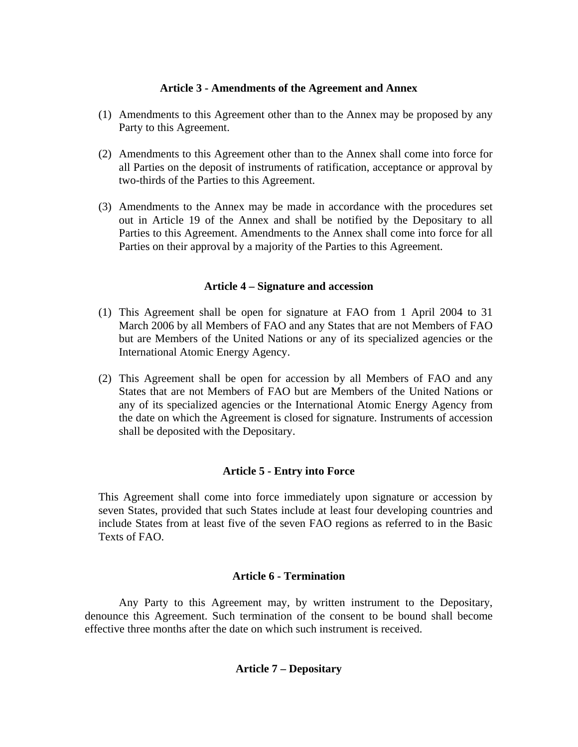## **Article 3 - Amendments of the Agreement and Annex**

- (1) Amendments to this Agreement other than to the Annex may be proposed by any Party to this Agreement.
- (2) Amendments to this Agreement other than to the Annex shall come into force for all Parties on the deposit of instruments of ratification, acceptance or approval by two-thirds of the Parties to this Agreement.
- (3) Amendments to the Annex may be made in accordance with the procedures set out in Article 19 of the Annex and shall be notified by the Depositary to all Parties to this Agreement. Amendments to the Annex shall come into force for all Parties on their approval by a majority of the Parties to this Agreement.

## **Article 4 – Signature and accession**

- (1) This Agreement shall be open for signature at FAO from 1 April 2004 to 31 March 2006 by all Members of FAO and any States that are not Members of FAO but are Members of the United Nations or any of its specialized agencies or the International Atomic Energy Agency.
- (2) This Agreement shall be open for accession by all Members of FAO and any States that are not Members of FAO but are Members of the United Nations or any of its specialized agencies or the International Atomic Energy Agency from the date on which the Agreement is closed for signature. Instruments of accession shall be deposited with the Depositary.

## **Article 5 - Entry into Force**

This Agreement shall come into force immediately upon signature or accession by seven States, provided that such States include at least four developing countries and include States from at least five of the seven FAO regions as referred to in the Basic Texts of FAO.

## **Article 6 - Termination**

 Any Party to this Agreement may, by written instrument to the Depositary, denounce this Agreement. Such termination of the consent to be bound shall become effective three months after the date on which such instrument is received.